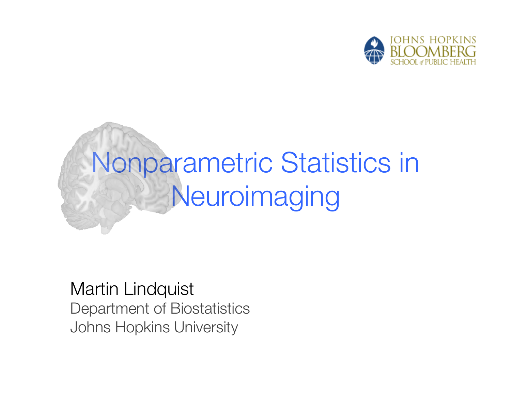

# Nonparametric Statistics in **Neuroimaging**

Martin Lindquist Department of Biostatistics Johns Hopkins University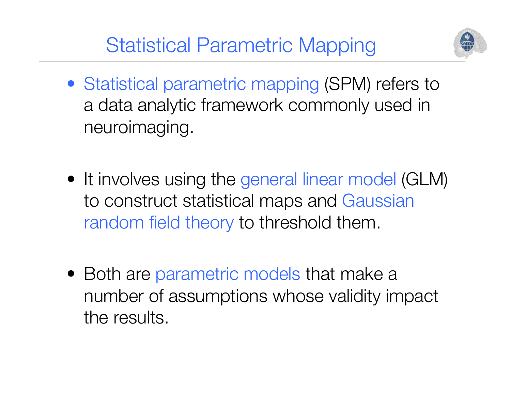Statistical Parametric Mapping



- Statistical parametric mapping (SPM) refers to a data analytic framework commonly used in neuroimaging.
- It involves using the general linear model (GLM) to construct statistical maps and Gaussian random field theory to threshold them.
- Both are parametric models that make a number of assumptions whose validity impact the results.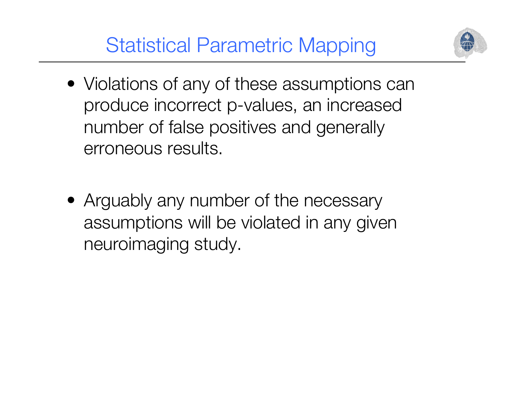## Statistical Parametric Mapping



- Violations of any of these assumptions can produce incorrect p-values, an increased number of false positives and generally erroneous results.
- Arguably any number of the necessary assumptions will be violated in any given neuroimaging study.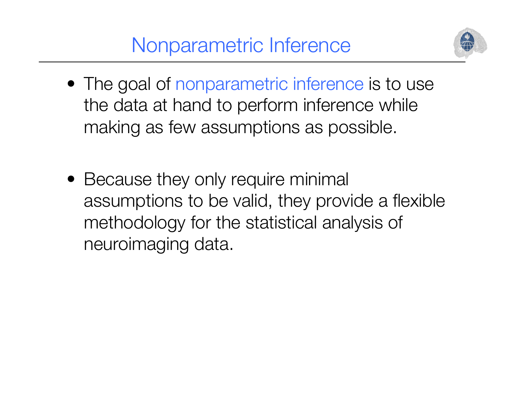

- The goal of nonparametric inference is to use the data at hand to perform inference while making as few assumptions as possible.
- Because they only require minimal assumptions to be valid, they provide a flexible methodology for the statistical analysis of neuroimaging data.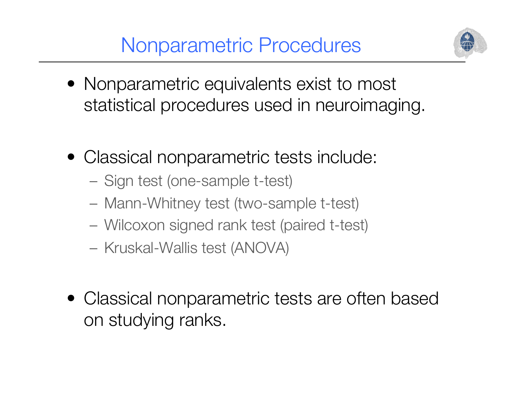# Nonparametric Procedures



- Nonparametric equivalents exist to most statistical procedures used in neuroimaging.
- Classical nonparametric tests include:
	- Sign test (one-sample t-test)
	- Mann-Whitney test (two-sample t-test)
	- Wilcoxon signed rank test (paired t-test)
	- Kruskal-Wallis test (ANOVA)
- Classical nonparametric tests are often based on studying ranks.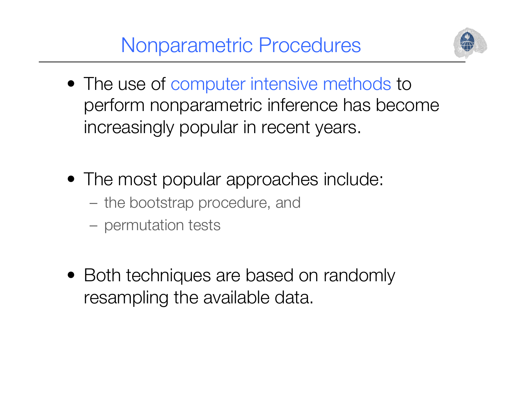Nonparametric Procedures



- The use of computer intensive methods to perform nonparametric inference has become increasingly popular in recent years.
- The most popular approaches include:
	- the bootstrap procedure, and
	- permutation tests
- Both techniques are based on randomly resampling the available data.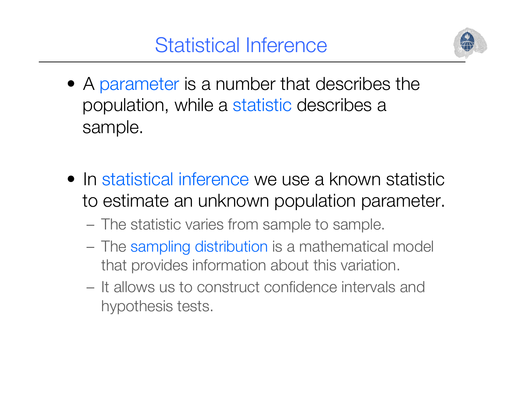

- A parameter is a number that describes the population, while a statistic describes a sample.
- In statistical inference we use a known statistic to estimate an unknown population parameter.
	- The statistic varies from sample to sample.
	- The sampling distribution is a mathematical model that provides information about this variation.
	- It allows us to construct confidence intervals and hypothesis tests.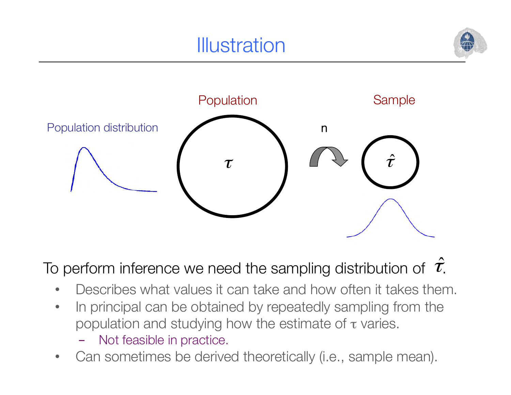# **Illustration**





To perform inference we need the sampling distribution of  $\hat{\tau}$ .

- Describes what values it can take and how often it takes them.
- In principal can be obtained by repeatedly sampling from the population and studying how the estimate of  $\tau$  varies.
	- Not feasible in practice.
- Can sometimes be derived theoretically (i.e., sample mean).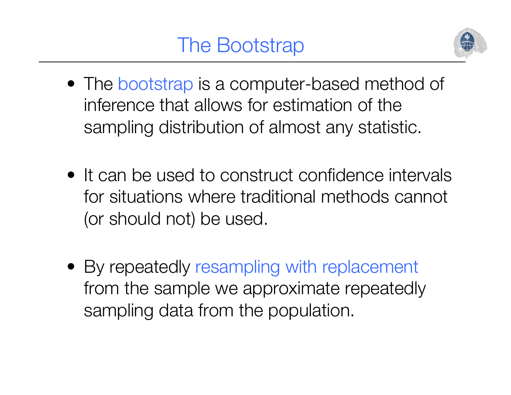

- The bootstrap is a computer-based method of inference that allows for estimation of the sampling distribution of almost any statistic.
- It can be used to construct confidence intervals for situations where traditional methods cannot (or should not) be used.
- By repeatedly resampling with replacement from the sample we approximate repeatedly sampling data from the population.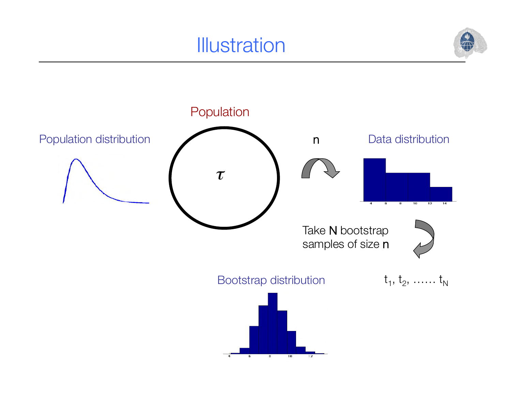# **Illustration**



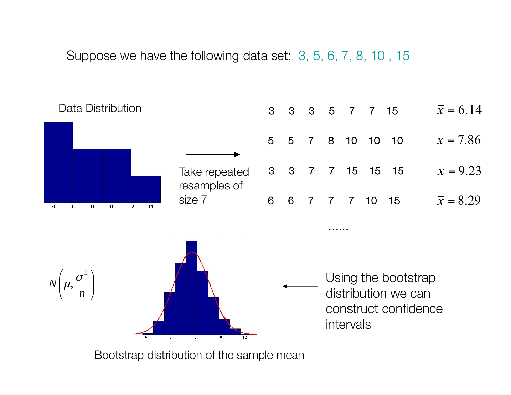Suppose we have the following data set: 3, 5, 6, 7, 8, 10 , 15



Bootstrap distribution of the sample mean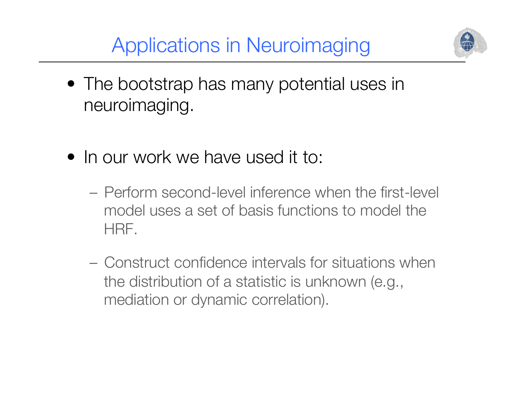Applications in Neuroimaging



- The bootstrap has many potential uses in neuroimaging.
- In our work we have used it to:
	- Perform second-level inference when the first-level model uses a set of basis functions to model the HRF.
	- Construct confidence intervals for situations when the distribution of a statistic is unknown (e.g., mediation or dynamic correlation).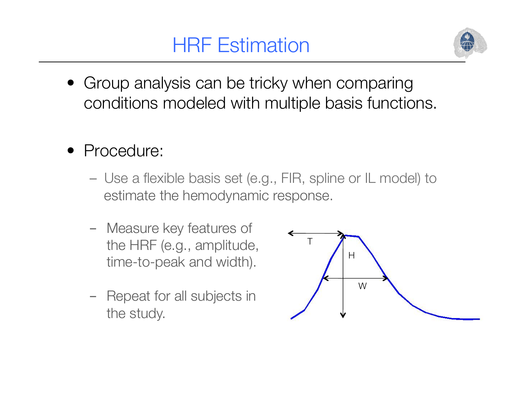# HRF Estimation



- Group analysis can be tricky when comparing conditions modeled with multiple basis functions.
- Procedure:
	- Use a flexible basis set (e.g., FIR, spline or IL model) to estimate the hemodynamic response.
	- Measure key features of the HRF (e.g., amplitude, time-to-peak and width).
	- Repeat for all subjects in the study.

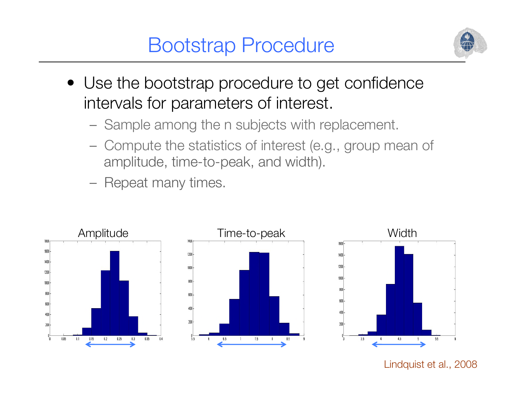## Bootstrap Procedure



- Use the bootstrap procedure to get confidence intervals for parameters of interest.
	- Sample among the n subjects with replacement.
	- Compute the statistics of interest (e.g., group mean of amplitude, time-to-peak, and width).
	- Repeat many times.

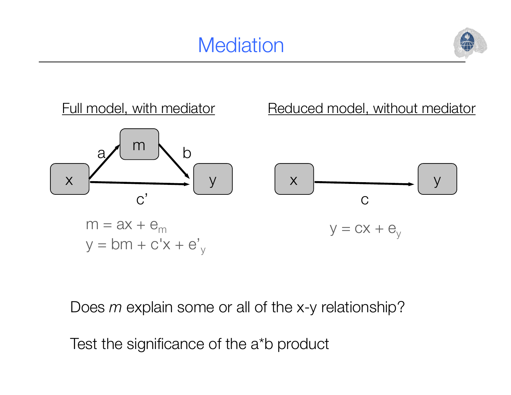# **Mediation**





Does *m* explain some or all of the x-y relationship?

Test the significance of the a\*b product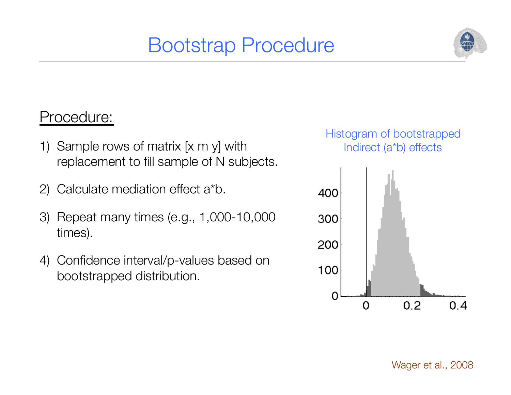# Bootstrap Procedure



#### Procedure:

- 1) Sample rows of matrix [x m y] with replacement to fill sample of N subjects.
- 2) Calculate mediation effect a\*b.
- 3) Repeat many times (e.g., 1,000-10,000 times).
- 4) Confidence interval/p-values based on bootstrapped distribution.

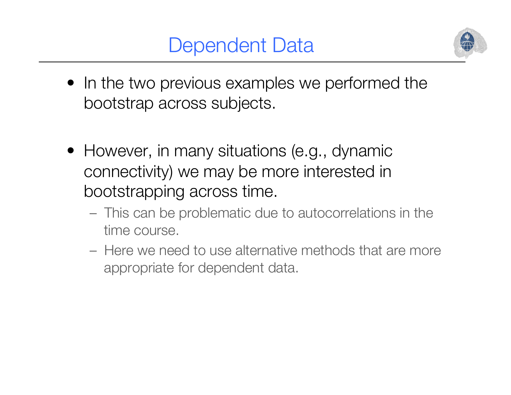## Dependent Data



- In the two previous examples we performed the bootstrap across subjects.
- However, in many situations (e.g., dynamic connectivity) we may be more interested in bootstrapping across time.
	- This can be problematic due to autocorrelations in the time course.
	- Here we need to use alternative methods that are more appropriate for dependent data.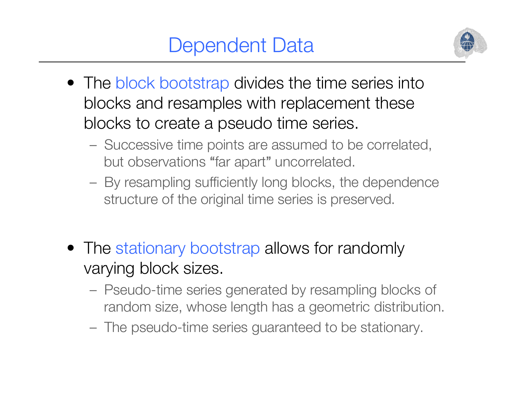# Dependent Data



- The block bootstrap divides the time series into blocks and resamples with replacement these blocks to create a pseudo time series.
	- Successive time points are assumed to be correlated, but observations "far apart" uncorrelated.
	- By resampling sufficiently long blocks, the dependence structure of the original time series is preserved.
- The stationary bootstrap allows for randomly varying block sizes.
	- Pseudo-time series generated by resampling blocks of random size, whose length has a geometric distribution.
	- The pseudo-time series guaranteed to be stationary.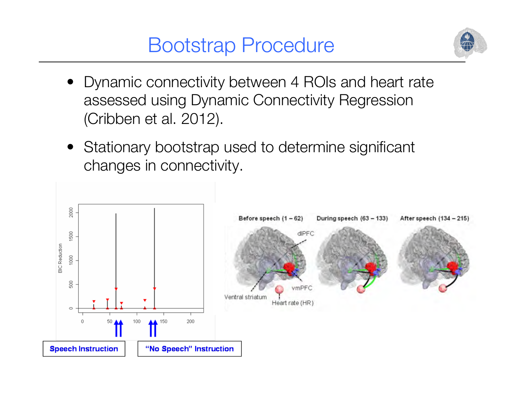## Bootstrap Procedure



- Dynamic connectivity between 4 ROIs and heart rate assessed using Dynamic Connectivity Regression (Cribben et al. 2012).
- Stationary bootstrap used to determine significant changes in connectivity.

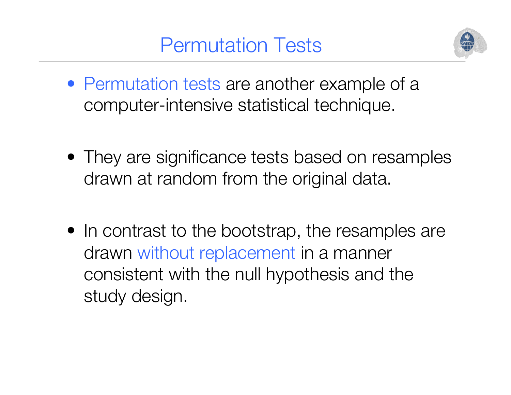#### Permutation Tests



- Permutation tests are another example of a computer-intensive statistical technique.
- They are significance tests based on resamples drawn at random from the original data.
- In contrast to the bootstrap, the resamples are drawn without replacement in a manner consistent with the null hypothesis and the study design.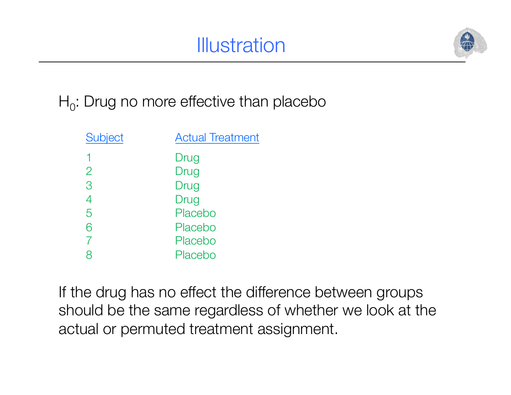# **Illustration**



 $H_0$ : Drug no more effective than placebo

| <b>Subject</b> | <b>Actual Treatment</b> |
|----------------|-------------------------|
|                | Drug                    |
| $\overline{2}$ | Drug                    |
| 3              | Drug                    |
| 4              | Drug                    |
| 5              | Placebo                 |
| 6              | Placebo                 |
| $\overline{7}$ | Placebo                 |
| 8              | Placebo                 |
|                |                         |

If the drug has no effect the difference between groups should be the same regardless of whether we look at the actual or permuted treatment assignment.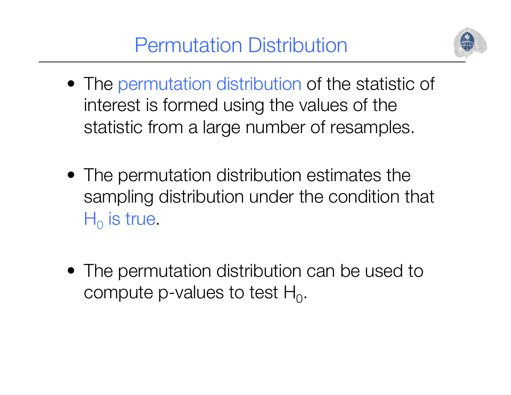

- The permutation distribution of the statistic of interest is formed using the values of the statistic from a large number of resamples.
- The permutation distribution estimates the sampling distribution under the condition that  $H_0$  is true.
- The permutation distribution can be used to compute p-values to test  $H_0$ .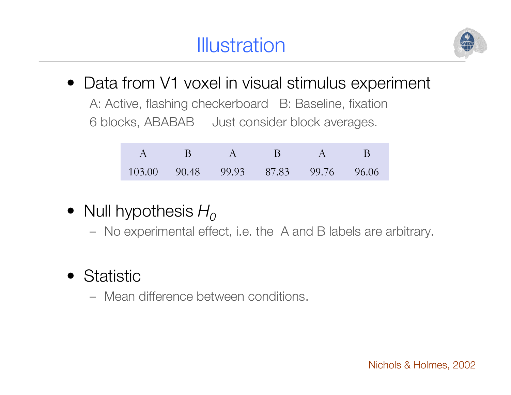

• Data from V1 voxel in visual stimulus experiment

A: Active, flashing checkerboard B: Baseline, fixation 6 blocks, ABABAB Just consider block averages.

|  | $A$ B $A$ B $A$ B                    |  |  |
|--|--------------------------------------|--|--|
|  | 103.00 90.48 99.93 87.83 99.76 96.06 |  |  |

- Null hypothesis  $H_0$ 
	- No experimental effect, i.e. the A and B labels are arbitrary.
- Statistic
	- Mean difference between conditions.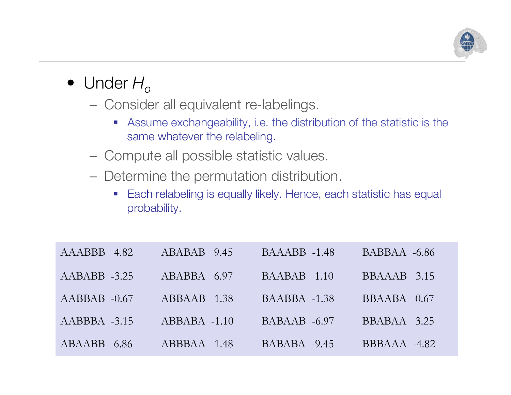

- Under  $H_{\alpha}$ 
	- Consider all equivalent re-labelings.
		- ! Assume exchangeability, i.e. the distribution of the statistic is the same whatever the relabeling.
	- Compute all possible statistic values.
	- Determine the permutation distribution.
		- **Each relabeling is equally likely. Hence, each statistic has equal** probability.

| AAABBB 4.82    | ABABAB 9.45    | $BAAABB -1.48$ | $BABBAA -6.86$ |
|----------------|----------------|----------------|----------------|
| $AABABB -3.25$ | ABABBA 6.97    | BAABAB 1.10    | BBAAAB 3.15    |
| $AABBAB -0.67$ | ABBAAB 1.38    | $BAABBA -1.38$ | BBAABA 0.67    |
| $AABBBA -3.15$ | $ABBABA -1.10$ | $BABAAB -6.97$ | BBABAA 3.25    |
| ABAABB 6.86    | ABBBAA 1.48    | $BABABA -9.45$ | BBBAAA -4.82   |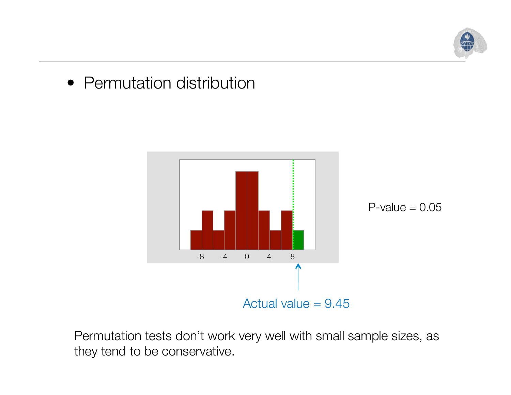

#### • Permutation distribution





Permutation tests don't work very well with small sample sizes, as they tend to be conservative.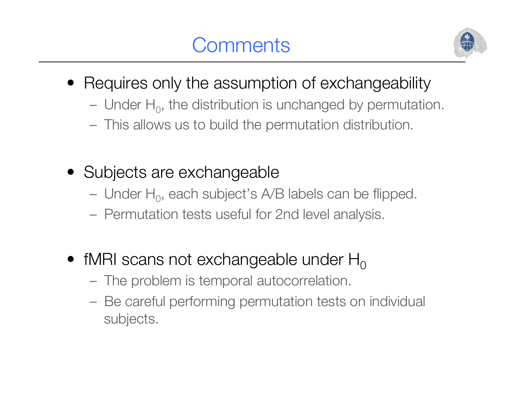# **Comments**



- Requires only the assumption of exchangeability
	- Under  $H_0$ , the distribution is unchanged by permutation.
	- This allows us to build the permutation distribution.
- Subjects are exchangeable
	- Under  $H_0$ , each subject's A/B labels can be flipped.
	- Permutation tests useful for 2nd level analysis.
- fMRI scans not exchangeable under  $H_0$ 
	- The problem is temporal autocorrelation.
	- Be careful performing permutation tests on individual subjects.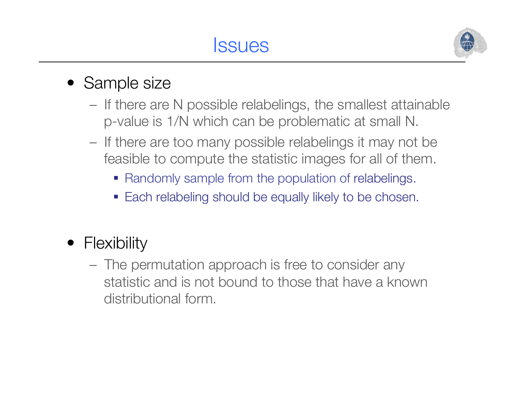#### **Issues**



#### • Sample size

- If there are N possible relabelings, the smallest attainable p-value is 1/N which can be problematic at small N.
- If there are too many possible relabelings it may not be feasible to compute the statistic images for all of them.
	- **Randomly sample from the population of relabelings.**
	- **Each relabeling should be equally likely to be chosen.**
- Flexibility
	- The permutation approach is free to consider any statistic and is not bound to those that have a known distributional form.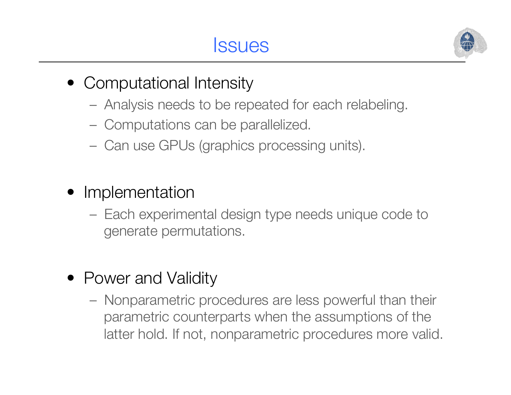**Issues** 



- Computational Intensity
	- Analysis needs to be repeated for each relabeling.
	- Computations can be parallelized.
	- Can use GPUs (graphics processing units).
- Implementation
	- Each experimental design type needs unique code to generate permutations.
- Power and Validity
	- Nonparametric procedures are less powerful than their parametric counterparts when the assumptions of the latter hold. If not, nonparametric procedures more valid.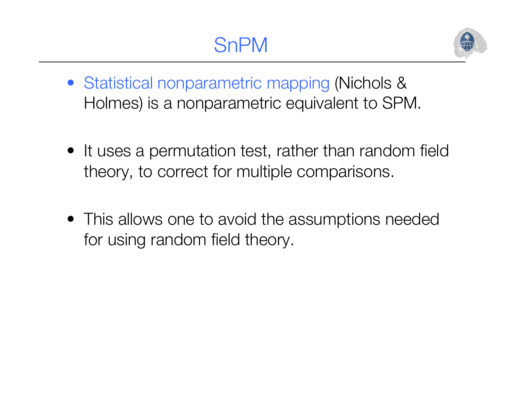

- Statistical nonparametric mapping (Nichols & Holmes) is a nonparametric equivalent to SPM.
- It uses a permutation test, rather than random field theory, to correct for multiple comparisons.
- This allows one to avoid the assumptions needed for using random field theory.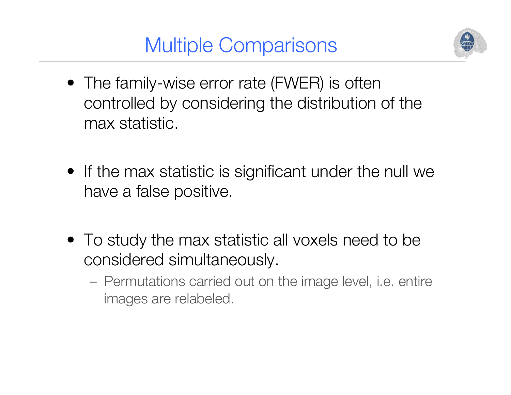Multiple Comparisons



- The family-wise error rate (FWER) is often controlled by considering the distribution of the max statistic.
- If the max statistic is significant under the null we have a false positive.
- To study the max statistic all voxels need to be considered simultaneously.
	- Permutations carried out on the image level, i.e. entire images are relabeled.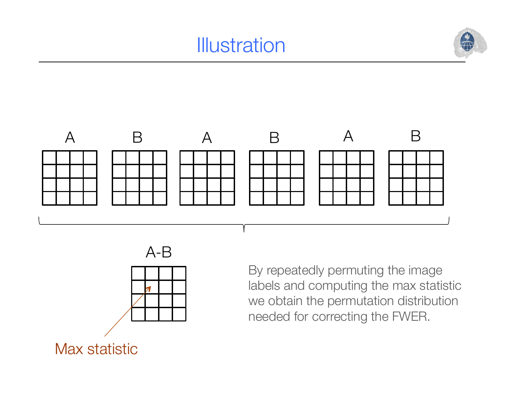# **Illustration**







By repeatedly permuting the image labels and computing the max statistic we obtain the permutation distribution needed for correcting the FWER.

Max statistic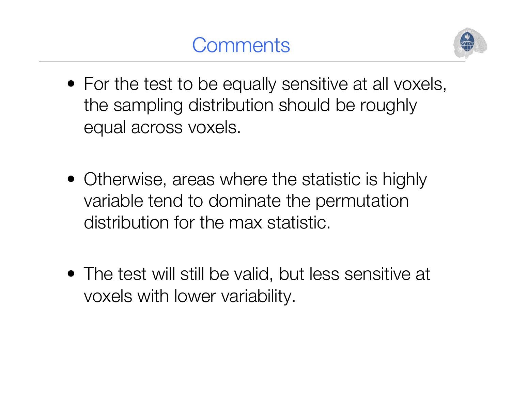# **Comments**



- For the test to be equally sensitive at all voxels, the sampling distribution should be roughly equal across voxels.
- Otherwise, areas where the statistic is highly variable tend to dominate the permutation distribution for the max statistic.
- The test will still be valid, but less sensitive at voxels with lower variability.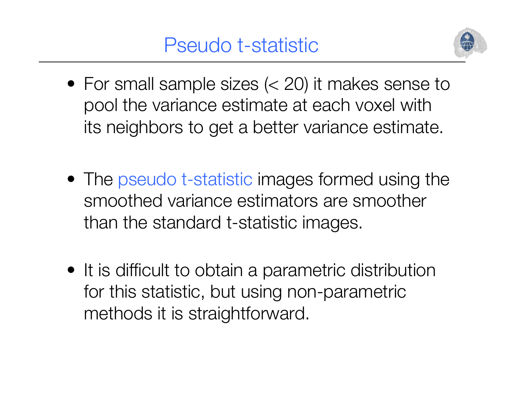

- For small sample sizes  $(< 20)$  it makes sense to pool the variance estimate at each voxel with its neighbors to get a better variance estimate.
- The pseudo t-statistic images formed using the smoothed variance estimators are smoother than the standard t-statistic images.
- It is difficult to obtain a parametric distribution for this statistic, but using non-parametric methods it is straightforward.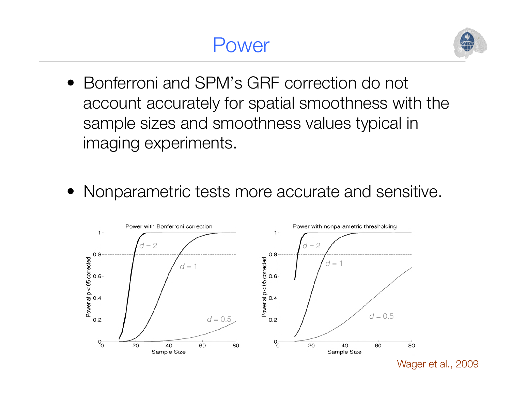#### Power



- Bonferroni and SPM's GRF correction do not account accurately for spatial smoothness with the sample sizes and smoothness values typical in imaging experiments.
- Nonparametric tests more accurate and sensitive.



Wager et al., 2009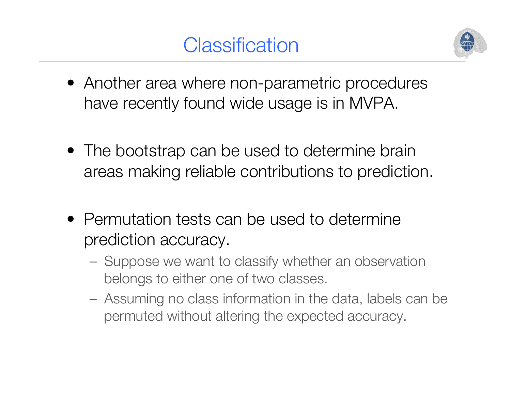

- Another area where non-parametric procedures have recently found wide usage is in MVPA.
- The bootstrap can be used to determine brain areas making reliable contributions to prediction.
- Permutation tests can be used to determine prediction accuracy.
	- Suppose we want to classify whether an observation belongs to either one of two classes.
	- Assuming no class information in the data, labels can be permuted without altering the expected accuracy.